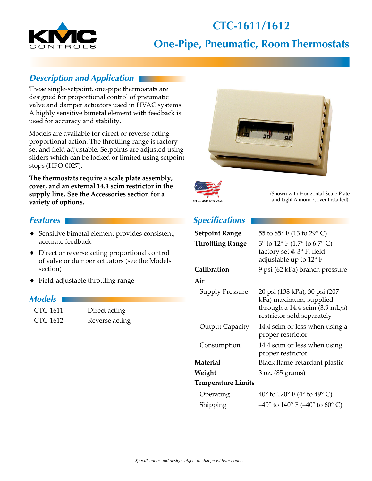# **CTC-1611/1612**



# **One-Pipe, Pneumatic, Room Thermostats**

### *Description and Application*

These single-setpoint, one-pipe thermostats are designed for proportional control of pneumatic valve and damper actuators used in HVAC systems. A highly sensitive bimetal element with feedback is used for accuracy and stability.

Models are available for direct or reverse acting proportional action. The throttling range is factory set and field adjustable. Setpoints are adjusted using sliders which can be locked or limited using setpoint stops (HFO-0027).

**The thermostats require a scale plate assembly, cover, and an external 14.4 scim restrictor in the supply line. See the Accessories section for a variety of options.**

#### *Features*

- ♦ Sensitive bimetal element provides consistent, accurate feedback
- ◆ Direct or reverse acting proportional control of valve or damper actuators (see the Models section)
- $\blacklozenge$  Field-adjustable throttling range

#### *Models*

| CTC-1611 | Direct acting  |
|----------|----------------|
| CTC-1612 | Reverse acting |





(Shown with Horizontal Scale Plate and Light Almond Cover Installed)

## *Specifications*

| <b>Setpoint Range</b>     | 55 to 85° F (13 to 29° C)                                                                                                         |
|---------------------------|-----------------------------------------------------------------------------------------------------------------------------------|
| <b>Throttling Range</b>   | $3^{\circ}$ to $12^{\circ}$ F (1.7° to 6.7° C)<br>factory set $@3°$ F, field<br>adjustable up to $12^{\circ}$ F                   |
| Calibration               | 9 psi (62 kPa) branch pressure                                                                                                    |
| Air                       |                                                                                                                                   |
| <b>Supply Pressure</b>    | 20 psi (138 kPa), 30 psi (207<br>kPa) maximum, supplied<br>through a 14.4 scim $(3.9 \text{ mL/s})$<br>restrictor sold separately |
| <b>Output Capacity</b>    | 14.4 scim or less when using a<br>proper restrictor                                                                               |
| Consumption               | 14.4 scim or less when using<br>proper restrictor                                                                                 |
| <b>Material</b>           | Black flame-retardant plastic                                                                                                     |
| Weight                    | 3 oz. (85 grams)                                                                                                                  |
| <b>Temperature Limits</b> |                                                                                                                                   |
| Operating                 | 40 $\degree$ to 120 $\degree$ F (4 $\degree$ to 49 $\degree$ C)                                                                   |
| Shipping                  | $-40^{\circ}$ to $140^{\circ}$ F ( $-40^{\circ}$ to $60^{\circ}$ C)                                                               |